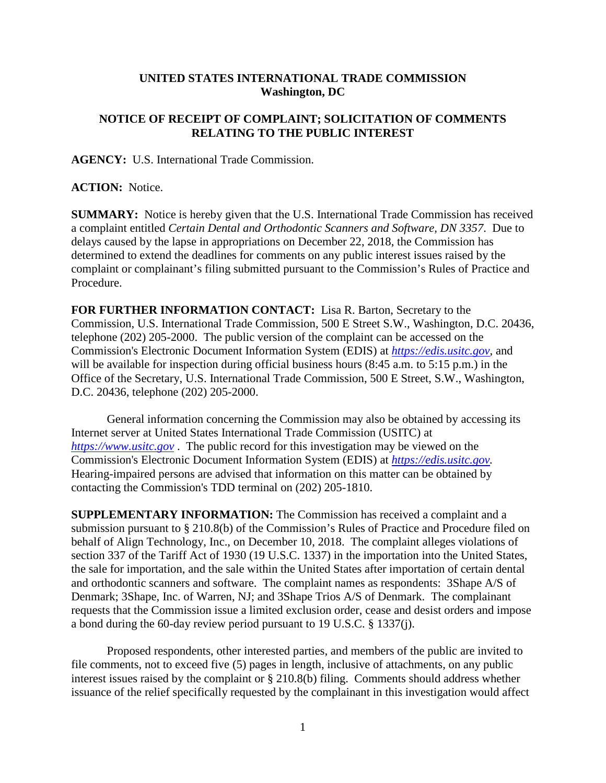## **UNITED STATES INTERNATIONAL TRADE COMMISSION Washington, DC**

## **NOTICE OF RECEIPT OF COMPLAINT; SOLICITATION OF COMMENTS RELATING TO THE PUBLIC INTEREST**

**AGENCY:** U.S. International Trade Commission.

**ACTION:** Notice.

**SUMMARY:** Notice is hereby given that the U.S. International Trade Commission has received a complaint entitled *Certain Dental and Orthodontic Scanners and Software, DN 3357*. Due to delays caused by the lapse in appropriations on December 22, 2018, the Commission has determined to extend the deadlines for comments on any public interest issues raised by the complaint or complainant's filing submitted pursuant to the Commission's Rules of Practice and Procedure.

**FOR FURTHER INFORMATION CONTACT:** Lisa R. Barton, Secretary to the Commission, U.S. International Trade Commission, 500 E Street S.W., Washington, D.C. 20436, telephone (202) 205-2000. The public version of the complaint can be accessed on the Commission's Electronic Document Information System (EDIS) at *[https://edis.usitc.gov](https://edis.usitc.gov/)*, and will be available for inspection during official business hours (8:45 a.m. to 5:15 p.m.) in the Office of the Secretary, U.S. International Trade Commission, 500 E Street, S.W., Washington, D.C. 20436, telephone (202) 205-2000.

General information concerning the Commission may also be obtained by accessing its Internet server at United States International Trade Commission (USITC) at *[https://www.usitc.gov](https://www.usitc.gov/)* . The public record for this investigation may be viewed on the Commission's Electronic Document Information System (EDIS) at *[https://edis.usitc.gov.](https://edis.usitc.gov/)* Hearing-impaired persons are advised that information on this matter can be obtained by contacting the Commission's TDD terminal on (202) 205-1810.

**SUPPLEMENTARY INFORMATION:** The Commission has received a complaint and a submission pursuant to § 210.8(b) of the Commission's Rules of Practice and Procedure filed on behalf of Align Technology, Inc., on December 10, 2018. The complaint alleges violations of section 337 of the Tariff Act of 1930 (19 U.S.C. 1337) in the importation into the United States, the sale for importation, and the sale within the United States after importation of certain dental and orthodontic scanners and software. The complaint names as respondents: 3Shape A/S of Denmark; 3Shape, Inc. of Warren, NJ; and 3Shape Trios A/S of Denmark. The complainant requests that the Commission issue a limited exclusion order, cease and desist orders and impose a bond during the 60-day review period pursuant to 19 U.S.C. § 1337(j).

Proposed respondents, other interested parties, and members of the public are invited to file comments, not to exceed five (5) pages in length, inclusive of attachments, on any public interest issues raised by the complaint or § 210.8(b) filing. Comments should address whether issuance of the relief specifically requested by the complainant in this investigation would affect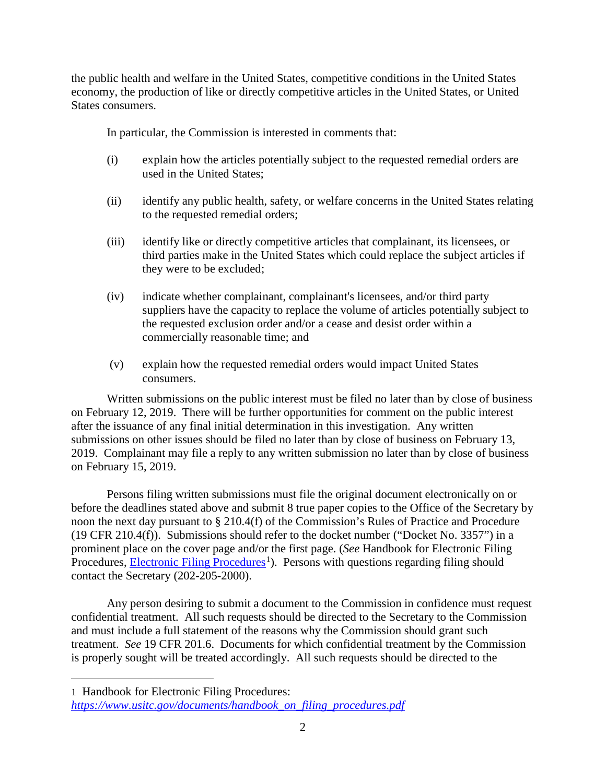the public health and welfare in the United States, competitive conditions in the United States economy, the production of like or directly competitive articles in the United States, or United States consumers.

In particular, the Commission is interested in comments that:

- (i) explain how the articles potentially subject to the requested remedial orders are used in the United States;
- (ii) identify any public health, safety, or welfare concerns in the United States relating to the requested remedial orders;
- (iii) identify like or directly competitive articles that complainant, its licensees, or third parties make in the United States which could replace the subject articles if they were to be excluded;
- (iv) indicate whether complainant, complainant's licensees, and/or third party suppliers have the capacity to replace the volume of articles potentially subject to the requested exclusion order and/or a cease and desist order within a commercially reasonable time; and
- (v) explain how the requested remedial orders would impact United States consumers.

Written submissions on the public interest must be filed no later than by close of business on February 12, 2019. There will be further opportunities for comment on the public interest after the issuance of any final initial determination in this investigation. Any written submissions on other issues should be filed no later than by close of business on February 13, 2019. Complainant may file a reply to any written submission no later than by close of business on February 15, 2019.

Persons filing written submissions must file the original document electronically on or before the deadlines stated above and submit 8 true paper copies to the Office of the Secretary by noon the next day pursuant to § 210.4(f) of the Commission's Rules of Practice and Procedure (19 CFR 210.4(f)). Submissions should refer to the docket number ("Docket No. 3357") in a prominent place on the cover page and/or the first page. (*See* Handbook for Electronic Filing Procedures, **Electronic Filing Procedures**<sup>[1](#page-1-0)</sup>). Persons with questions regarding filing should contact the Secretary (202-205-2000).

Any person desiring to submit a document to the Commission in confidence must request confidential treatment. All such requests should be directed to the Secretary to the Commission and must include a full statement of the reasons why the Commission should grant such treatment. *See* 19 CFR 201.6. Documents for which confidential treatment by the Commission is properly sought will be treated accordingly. All such requests should be directed to the

 $\overline{a}$ 

<span id="page-1-0"></span><sup>1</sup> Handbook for Electronic Filing Procedures:

*[https://www.usitc.gov/documents/handbook\\_on\\_filing\\_procedures.pdf](https://www.usitc.gov/documents/handbook_on_filing_procedures.pdf)*